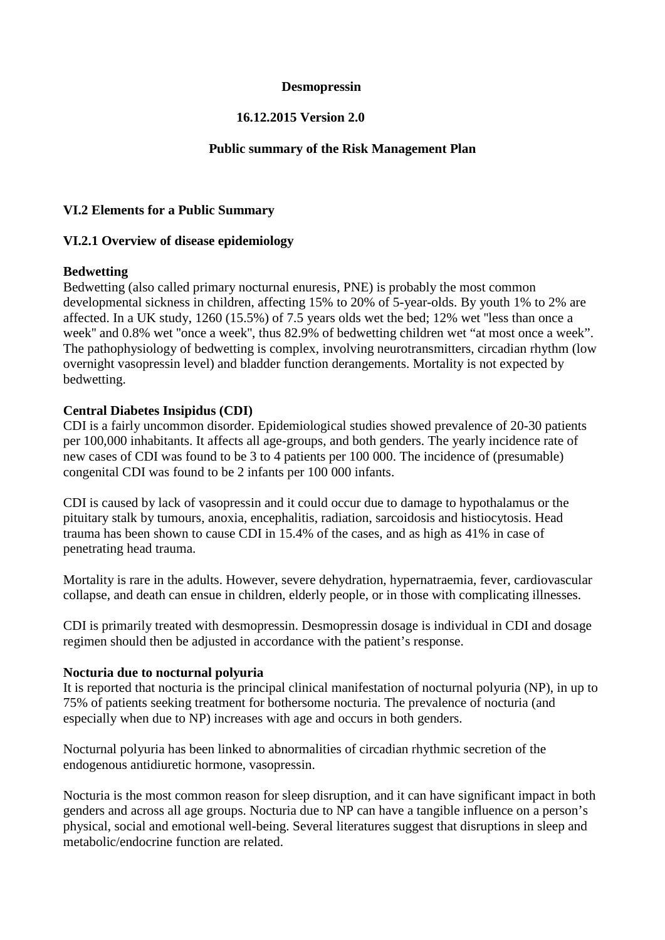### **Desmopressin**

# **16.12.2015 Version 2.0**

### **Public summary of the Risk Management Plan**

## **VI.2 Elements for a Public Summary**

## **VI.2.1 Overview of disease epidemiology**

## **Bedwetting**

Bedwetting (also called primary nocturnal enuresis, PNE) is probably the most common developmental sickness in children, affecting 15% to 20% of 5-year-olds. By youth 1% to 2% are affected. In a UK study, 1260 (15.5%) of 7.5 years olds wet the bed; 12% wet ''less than once a week'' and 0.8% wet ''once a week'', thus 82.9% of bedwetting children wet "at most once a week". The pathophysiology of bedwetting is complex, involving neurotransmitters, circadian rhythm (low overnight vasopressin level) and bladder function derangements. Mortality is not expected by bedwetting.

## **Central Diabetes Insipidus (CDI)**

CDI is a fairly uncommon disorder. Epidemiological studies showed prevalence of 20-30 patients per 100,000 inhabitants. It affects all age-groups, and both genders. The yearly incidence rate of new cases of CDI was found to be 3 to 4 patients per 100 000. The incidence of (presumable) congenital CDI was found to be 2 infants per 100 000 infants.

CDI is caused by lack of vasopressin and it could occur due to damage to hypothalamus or the pituitary stalk by tumours, anoxia, encephalitis, radiation, sarcoidosis and histiocytosis. Head trauma has been shown to cause CDI in 15.4% of the cases, and as high as 41% in case of penetrating head trauma.

Mortality is rare in the adults. However, severe dehydration, hypernatraemia, fever, cardiovascular collapse, and death can ensue in children, elderly people, or in those with complicating illnesses.

CDI is primarily treated with desmopressin. Desmopressin dosage is individual in CDI and dosage regimen should then be adjusted in accordance with the patient's response.

### **Nocturia due to nocturnal polyuria**

It is reported that nocturia is the principal clinical manifestation of nocturnal polyuria (NP), in up to 75% of patients seeking treatment for bothersome nocturia. The prevalence of nocturia (and especially when due to NP) increases with age and occurs in both genders.

Nocturnal polyuria has been linked to abnormalities of circadian rhythmic secretion of the endogenous antidiuretic hormone, vasopressin.

Nocturia is the most common reason for sleep disruption, and it can have significant impact in both genders and across all age groups. Nocturia due to NP can have a tangible influence on a person's physical, social and emotional well-being. Several literatures suggest that disruptions in sleep and metabolic/endocrine function are related.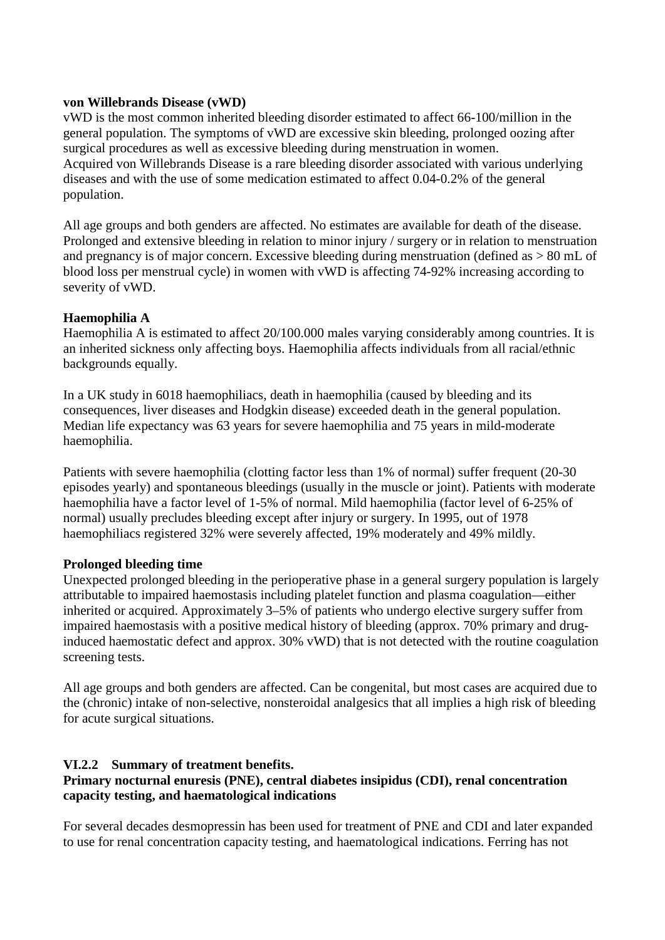## **von Willebrands Disease (vWD)**

vWD is the most common inherited bleeding disorder estimated to affect 66-100/million in the general population. The symptoms of vWD are excessive skin bleeding, prolonged oozing after surgical procedures as well as excessive bleeding during menstruation in women. Acquired von Willebrands Disease is a rare bleeding disorder associated with various underlying diseases and with the use of some medication estimated to affect 0.04-0.2% of the general population.

All age groups and both genders are affected. No estimates are available for death of the disease. Prolonged and extensive bleeding in relation to minor injury / surgery or in relation to menstruation and pregnancy is of major concern. Excessive bleeding during menstruation (defined as > 80 mL of blood loss per menstrual cycle) in women with vWD is affecting 74-92% increasing according to severity of vWD.

# **Haemophilia A**

Haemophilia A is estimated to affect 20/100.000 males varying considerably among countries. It is an inherited sickness only affecting boys. Haemophilia affects individuals from all racial/ethnic backgrounds equally.

In a UK study in 6018 haemophiliacs, death in haemophilia (caused by bleeding and its consequences, liver diseases and Hodgkin disease) exceeded death in the general population. Median life expectancy was 63 years for severe haemophilia and 75 years in mild-moderate haemophilia.

Patients with severe haemophilia (clotting factor less than 1% of normal) suffer frequent (20-30 episodes yearly) and spontaneous bleedings (usually in the muscle or joint). Patients with moderate haemophilia have a factor level of 1-5% of normal. Mild haemophilia (factor level of 6-25% of normal) usually precludes bleeding except after injury or surgery. In 1995, out of 1978 haemophiliacs registered 32% were severely affected, 19% moderately and 49% mildly.

# **Prolonged bleeding time**

Unexpected prolonged bleeding in the perioperative phase in a general surgery population is largely attributable to impaired haemostasis including platelet function and plasma coagulation—either inherited or acquired. Approximately 3–5% of patients who undergo elective surgery suffer from impaired haemostasis with a positive medical history of bleeding (approx. 70% primary and druginduced haemostatic defect and approx. 30% vWD) that is not detected with the routine coagulation screening tests.

All age groups and both genders are affected. Can be congenital, but most cases are acquired due to the (chronic) intake of non-selective, nonsteroidal analgesics that all implies a high risk of bleeding for acute surgical situations.

# **VI.2.2 Summary of treatment benefits.**

# **Primary nocturnal enuresis (PNE), central diabetes insipidus (CDI), renal concentration capacity testing, and haematological indications**

For several decades desmopressin has been used for treatment of PNE and CDI and later expanded to use for renal concentration capacity testing, and haematological indications. Ferring has not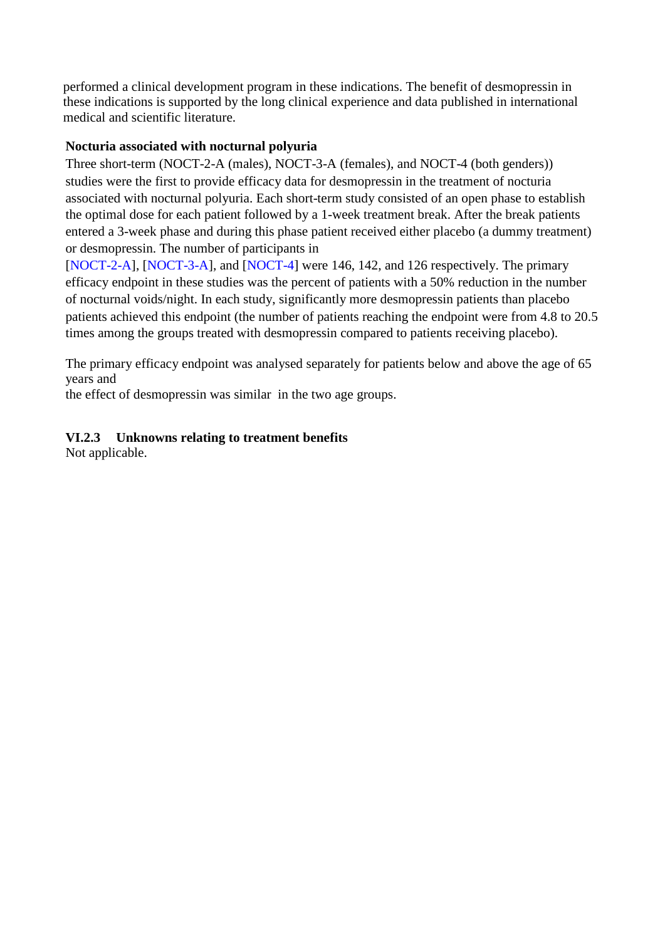performed a clinical development program in these indications. The benefit of desmopressin in these indications is supported by the long clinical experience and data published in international medical and scientific literature.

# **Nocturia associated with nocturnal polyuria**

Three short-term (NOCT-2-A (males), NOCT-3-A (females), and NOCT-4 (both genders)) studies were the first to provide efficacy data for desmopressin in the treatment of nocturia associated with nocturnal polyuria. Each short-term study consisted of an open phase to establish the optimal dose for each patient followed by a 1-week treatment break. After the break patients entered a 3-week phase and during this phase patient received either placebo (a dummy treatment) or desmopressin. The number of participants in

[NOCT-2-A], [NOCT-3-A], and [NOCT-4] were 146, 142, and 126 respectively. The primary efficacy endpoint in these studies was the percent of patients with a 50% reduction in the number of nocturnal voids/night. In each study, significantly more desmopressin patients than placebo patients achieved this endpoint (the number of patients reaching the endpoint were from 4.8 to 20.5 times among the groups treated with desmopressin compared to patients receiving placebo).

The primary efficacy endpoint was analysed separately for patients below and above the age of 65 years and

the effect of desmopressin was similar in the two age groups.

# **VI.2.3 Unknowns relating to treatment benefits**

Not applicable.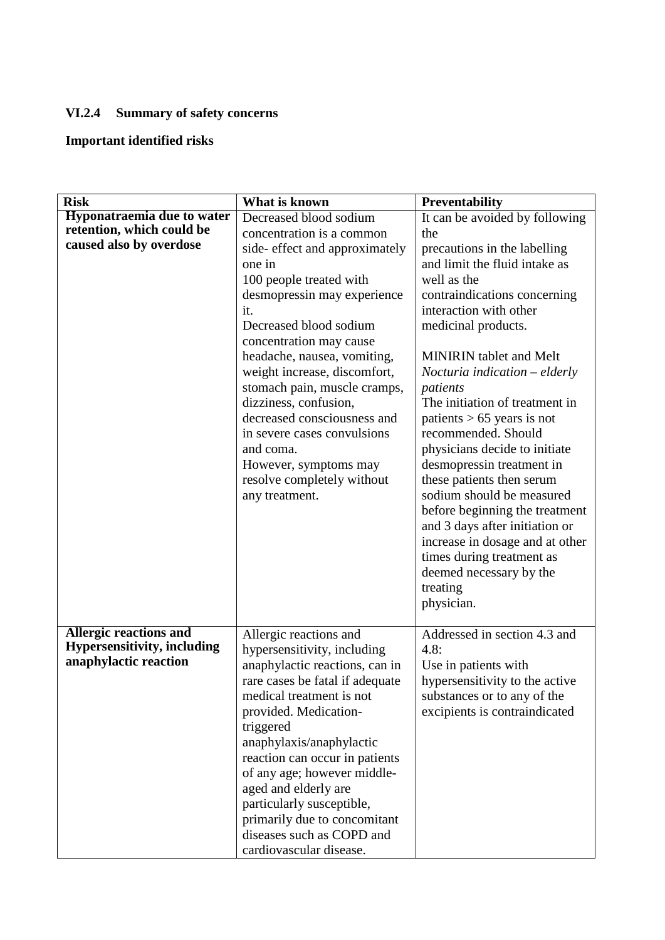# **VI.2.4 Summary of safety concerns**

# **Important identified risks**

| <b>Risk</b>                                                                                  | What is known                                                                                                                                                                                                                                                                                                                                                                                                                                                           | <b>Preventability</b>                                                                                                                                                                                                                                                                                                                                                                                                                                                                                                                                                                                                                    |
|----------------------------------------------------------------------------------------------|-------------------------------------------------------------------------------------------------------------------------------------------------------------------------------------------------------------------------------------------------------------------------------------------------------------------------------------------------------------------------------------------------------------------------------------------------------------------------|------------------------------------------------------------------------------------------------------------------------------------------------------------------------------------------------------------------------------------------------------------------------------------------------------------------------------------------------------------------------------------------------------------------------------------------------------------------------------------------------------------------------------------------------------------------------------------------------------------------------------------------|
| <b>Hyponatraemia due to water</b>                                                            | Decreased blood sodium                                                                                                                                                                                                                                                                                                                                                                                                                                                  | It can be avoided by following                                                                                                                                                                                                                                                                                                                                                                                                                                                                                                                                                                                                           |
|                                                                                              |                                                                                                                                                                                                                                                                                                                                                                                                                                                                         | the                                                                                                                                                                                                                                                                                                                                                                                                                                                                                                                                                                                                                                      |
| retention, which could be<br>caused also by overdose                                         | concentration is a common<br>side- effect and approximately<br>one in<br>100 people treated with<br>desmopressin may experience<br>it.<br>Decreased blood sodium<br>concentration may cause<br>headache, nausea, vomiting,<br>weight increase, discomfort,<br>stomach pain, muscle cramps,<br>dizziness, confusion,<br>decreased consciousness and<br>in severe cases convulsions<br>and coma.<br>However, symptoms may<br>resolve completely without<br>any treatment. | precautions in the labelling<br>and limit the fluid intake as<br>well as the<br>contraindications concerning<br>interaction with other<br>medicinal products.<br><b>MINIRIN</b> tablet and Melt<br>Nocturia indication – elderly<br>patients<br>The initiation of treatment in<br>patients $> 65$ years is not<br>recommended. Should<br>physicians decide to initiate<br>desmopressin treatment in<br>these patients then serum<br>sodium should be measured<br>before beginning the treatment<br>and 3 days after initiation or<br>increase in dosage and at other<br>times during treatment as<br>deemed necessary by the<br>treating |
|                                                                                              |                                                                                                                                                                                                                                                                                                                                                                                                                                                                         | physician.                                                                                                                                                                                                                                                                                                                                                                                                                                                                                                                                                                                                                               |
| <b>Allergic reactions and</b><br><b>Hypersensitivity, including</b><br>anaphylactic reaction | Allergic reactions and<br>hypersensitivity, including<br>anaphylactic reactions, can in<br>rare cases be fatal if adequate<br>medical treatment is not<br>provided. Medication-<br>triggered<br>anaphylaxis/anaphylactic<br>reaction can occur in patients<br>of any age; however middle-<br>aged and elderly are<br>particularly susceptible,<br>primarily due to concomitant<br>diseases such as COPD and<br>cardiovascular disease.                                  | Addressed in section 4.3 and<br>4.8:<br>Use in patients with<br>hypersensitivity to the active<br>substances or to any of the<br>excipients is contraindicated                                                                                                                                                                                                                                                                                                                                                                                                                                                                           |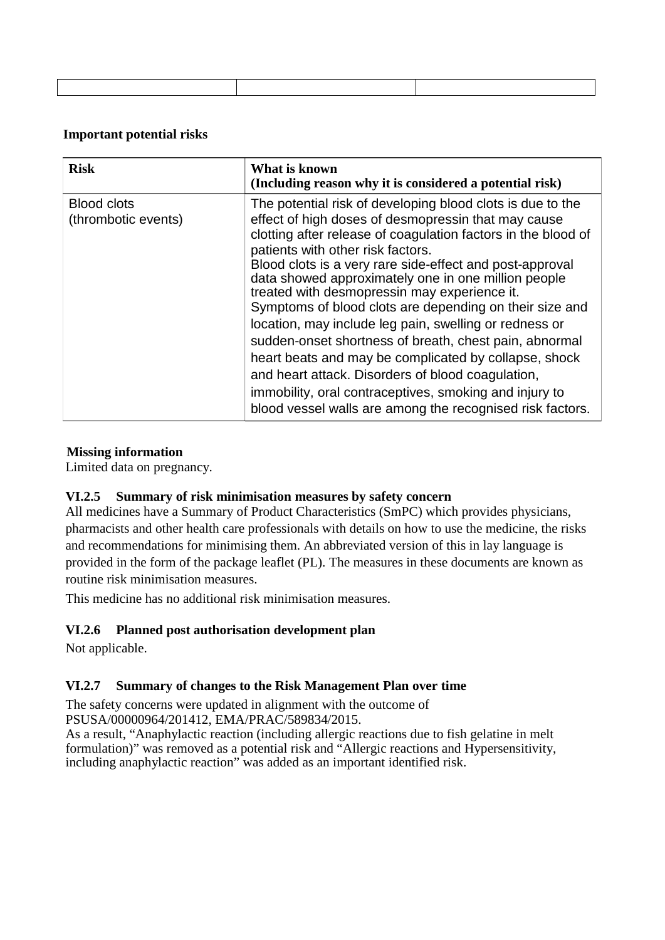## **Important potential risks**

| <b>Risk</b>                               | What is known<br>(Including reason why it is considered a potential risk)                                                                                                                                                                                                                                                                                                                                                                                                                                                                                                                                                                                                                                                                                                                                      |
|-------------------------------------------|----------------------------------------------------------------------------------------------------------------------------------------------------------------------------------------------------------------------------------------------------------------------------------------------------------------------------------------------------------------------------------------------------------------------------------------------------------------------------------------------------------------------------------------------------------------------------------------------------------------------------------------------------------------------------------------------------------------------------------------------------------------------------------------------------------------|
| <b>Blood clots</b><br>(thrombotic events) | The potential risk of developing blood clots is due to the<br>effect of high doses of desmopressin that may cause<br>clotting after release of coagulation factors in the blood of<br>patients with other risk factors.<br>Blood clots is a very rare side-effect and post-approval<br>data showed approximately one in one million people<br>treated with desmopressin may experience it.<br>Symptoms of blood clots are depending on their size and<br>location, may include leg pain, swelling or redness or<br>sudden-onset shortness of breath, chest pain, abnormal<br>heart beats and may be complicated by collapse, shock<br>and heart attack. Disorders of blood coagulation,<br>immobility, oral contraceptives, smoking and injury to<br>blood vessel walls are among the recognised risk factors. |

# **Missing information**

Limited data on pregnancy.

# **VI.2.5 Summary of risk minimisation measures by safety concern**

All medicines have a Summary of Product Characteristics (SmPC) which provides physicians, pharmacists and other health care professionals with details on how to use the medicine, the risks and recommendations for minimising them. An abbreviated version of this in lay language is provided in the form of the package leaflet (PL). The measures in these documents are known as routine risk minimisation measures.

This medicine has no additional risk minimisation measures.

# **VI.2.6 Planned post authorisation development plan**

Not applicable.

# **VI.2.7 Summary of changes to the Risk Management Plan over time**

The safety concerns were updated in alignment with the outcome of PSUSA/00000964/201412, EMA/PRAC/589834/2015.

As a result, "Anaphylactic reaction (including allergic reactions due to fish gelatine in melt formulation)" was removed as a potential risk and "Allergic reactions and Hypersensitivity, including anaphylactic reaction" was added as an important identified risk.